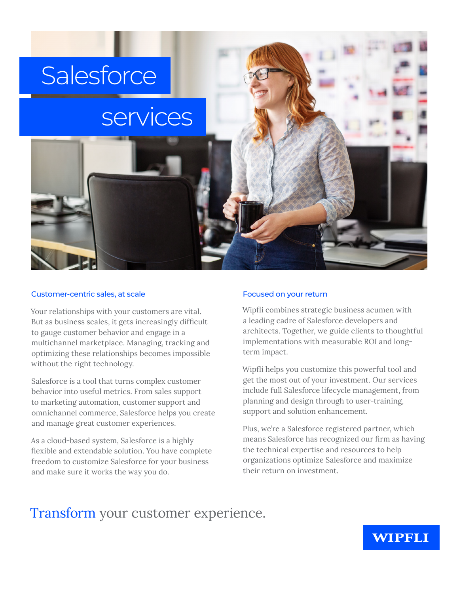# **Salesforce**

# services

#### Customer-centric sales, at scale

Your relationships with your customers are vital. But as business scales, it gets increasingly difficult to gauge customer behavior and engage in a multichannel marketplace. Managing, tracking and optimizing these relationships becomes impossible without the right technology.

Salesforce is a tool that turns complex customer behavior into useful metrics. From sales support to marketing automation, customer support and omnichannel commerce, Salesforce helps you create and manage great customer experiences.

As a cloud-based system, Salesforce is a highly flexible and extendable solution. You have complete freedom to customize Salesforce for your business and make sure it works the way you do.

#### Focused on your return

Wipfli combines strategic business acumen with a leading cadre of Salesforce developers and architects. Together, we guide clients to thoughtful implementations with measurable ROI and longterm impact.

Wipfli helps you customize this powerful tool and get the most out of your investment. Our services include full Salesforce lifecycle management, from planning and design through to user-training, support and solution enhancement.

Plus, we're a Salesforce registered partner, which means Salesforce has recognized our firm as having the technical expertise and resources to help organizations optimize Salesforce and maximize their return on investment.

## Transform your customer experience.

### **WIPFLI**